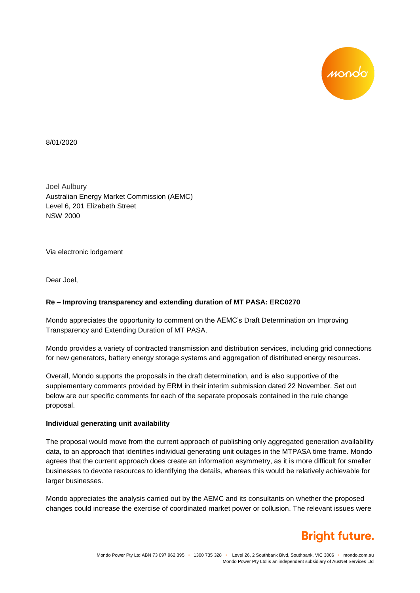

8/01/2020

Joel Aulbury Australian Energy Market Commission (AEMC) Level 6, 201 Elizabeth Street NSW 2000

Via electronic lodgement

Dear Joel,

### **Re – Improving transparency and extending duration of MT PASA: ERC0270**

Mondo appreciates the opportunity to comment on the AEMC's Draft Determination on Improving Transparency and Extending Duration of MT PASA.

Mondo provides a variety of contracted transmission and distribution services, including grid connections for new generators, battery energy storage systems and aggregation of distributed energy resources.

Overall, Mondo supports the proposals in the draft determination, and is also supportive of the supplementary comments provided by ERM in their interim submission dated 22 November. Set out below are our specific comments for each of the separate proposals contained in the rule change proposal.

#### **Individual generating unit availability**

The proposal would move from the current approach of publishing only aggregated generation availability data, to an approach that identifies individual generating unit outages in the MTPASA time frame. Mondo agrees that the current approach does create an information asymmetry, as it is more difficult for smaller businesses to devote resources to identifying the details, whereas this would be relatively achievable for larger businesses.

Mondo appreciates the analysis carried out by the AEMC and its consultants on whether the proposed changes could increase the exercise of coordinated market power or collusion. The relevant issues were

# **Bright future.**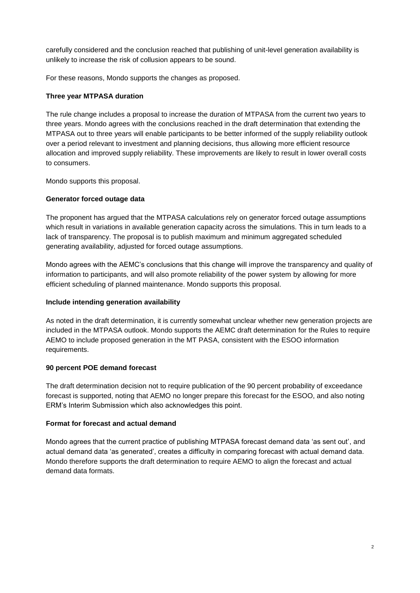carefully considered and the conclusion reached that publishing of unit-level generation availability is unlikely to increase the risk of collusion appears to be sound.

For these reasons, Mondo supports the changes as proposed.

### **Three year MTPASA duration**

The rule change includes a proposal to increase the duration of MTPASA from the current two years to three years. Mondo agrees with the conclusions reached in the draft determination that extending the MTPASA out to three years will enable participants to be better informed of the supply reliability outlook over a period relevant to investment and planning decisions, thus allowing more efficient resource allocation and improved supply reliability. These improvements are likely to result in lower overall costs to consumers.

Mondo supports this proposal.

## **Generator forced outage data**

The proponent has argued that the MTPASA calculations rely on generator forced outage assumptions which result in variations in available generation capacity across the simulations. This in turn leads to a lack of transparency. The proposal is to publish maximum and minimum aggregated scheduled generating availability, adjusted for forced outage assumptions.

Mondo agrees with the AEMC's conclusions that this change will improve the transparency and quality of information to participants, and will also promote reliability of the power system by allowing for more efficient scheduling of planned maintenance. Mondo supports this proposal.

### **Include intending generation availability**

As noted in the draft determination, it is currently somewhat unclear whether new generation projects are included in the MTPASA outlook. Mondo supports the AEMC draft determination for the Rules to require AEMO to include proposed generation in the MT PASA, consistent with the ESOO information requirements.

### **90 percent POE demand forecast**

The draft determination decision not to require publication of the 90 percent probability of exceedance forecast is supported, noting that AEMO no longer prepare this forecast for the ESOO, and also noting ERM's Interim Submission which also acknowledges this point.

### **Format for forecast and actual demand**

Mondo agrees that the current practice of publishing MTPASA forecast demand data 'as sent out', and actual demand data 'as generated', creates a difficulty in comparing forecast with actual demand data. Mondo therefore supports the draft determination to require AEMO to align the forecast and actual demand data formats.